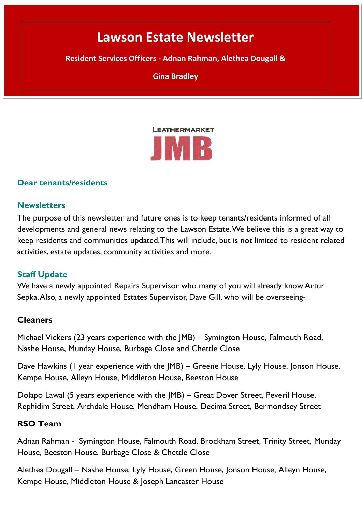# **Symington House. Resident Services Officer - Adnan Rahman Lawson Estate Newsletter**

**Article 1 – October 2021 Resident Services Officers - Adnan Rahman, Alethea Dougall &** 

**Gina Bradley**



#### **Dear tenants/residents**

#### **Newsletters**

The purpose of this newsletter and future ones is to keep tenants/residents informed of all developments and general news relating to the Lawson Estate. We believe this is a great way to keep residents and communities updated. This will include, but is not limited to resident related activities, estate updates, community activities and more.

### **Staff Update**

We have a newly appointed Repairs Supervisor who many of you will already know Artur Sepka.Also, a newly appointed Estates Supervisor, Dave Gill, who will be overseeing-

#### **Cleaners**

Michael Vickers (23 years experience with the JMB) – Symington House, Falmouth Road, Nashe House, Munday House, Burbage Close and Chettle Close

Dave Hawkins (1 year experience with the JMB) – Greene House, Lyly House, Jonson House, Kempe House, Alleyn House, Middleton House, Beeston House

Dolapo Lawal (5 years experience with the JMB) – Great Dover Street, Peveril House, Rephidim Street, Archdale House, Mendham House, Decima Street, Bermondsey Street

#### **RSO Team**

Adnan Rahman - Symington House, Falmouth Road, Brockham Street, Trinity Street, Munday House, Beeston House, Burbage Close & Chettle Close

Alethea Dougall – Nashe House, Lyly House, Green House, Jonson House, Alleyn House, Kempe House, Middleton House & Joseph Lancaster House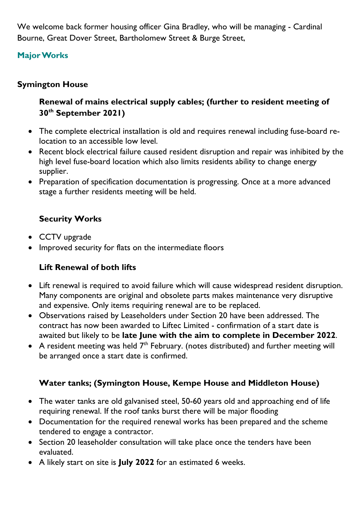We welcome back former housing officer Gina Bradley, who will be managing - Cardinal Bourne, Great Dover Street, Bartholomew Street & Burge Street,

# **Major Works**

### **Symington House**

# **Renewal of mains electrical supply cables; (further to resident meeting of 30th September 2021)**

- The complete electrical installation is old and requires renewal including fuse-board relocation to an accessible low level.
- Recent block electrical failure caused resident disruption and repair was inhibited by the high level fuse-board location which also limits residents ability to change energy supplier.
- Preparation of specification documentation is progressing. Once at a more advanced stage a further residents meeting will be held.

## **Security Works**

- CCTV upgrade
- Improved security for flats on the intermediate floors

# **Lift Renewal of both lifts**

- Lift renewal is required to avoid failure which will cause widespread resident disruption. Many components are original and obsolete parts makes maintenance very disruptive and expensive. Only items requiring renewal are to be replaced.
- Observations raised by Leaseholders under Section 20 have been addressed. The contract has now been awarded to Liftec Limited - confirmation of a start date is awaited but likely to be **late June with the aim to complete in December 2022**.
- A resident meeting was held  $7<sup>th</sup>$  February. (notes distributed) and further meeting will be arranged once a start date is confirmed.

# **Water tanks; (Symington House, Kempe House and Middleton House)**

- The water tanks are old galvanised steel, 50-60 years old and approaching end of life requiring renewal. If the roof tanks burst there will be major flooding
- Documentation for the required renewal works has been prepared and the scheme tendered to engage a contractor.
- Section 20 leaseholder consultation will take place once the tenders have been evaluated.
- A likely start on site is **July 2022** for an estimated 6 weeks.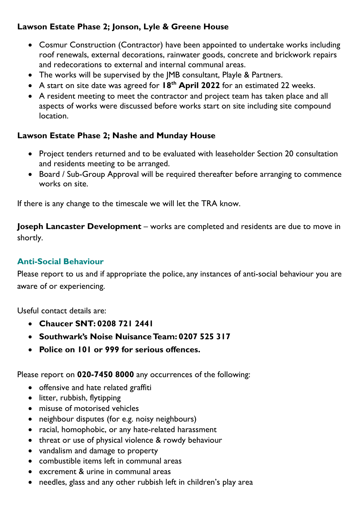## **Lawson Estate Phase 2; Jonson, Lyle & Greene House**

- Cosmur Construction (Contractor) have been appointed to undertake works including roof renewals, external decorations, rainwater goods, concrete and brickwork repairs and redecorations to external and internal communal areas.
- The works will be supervised by the JMB consultant, Playle & Partners.
- A start on site date was agreed for **18th April 2022** for an estimated 22 weeks.
- A resident meeting to meet the contractor and project team has taken place and all aspects of works were discussed before works start on site including site compound location.

## **Lawson Estate Phase 2; Nashe and Munday House**

- Project tenders returned and to be evaluated with leaseholder Section 20 consultation and residents meeting to be arranged.
- Board / Sub-Group Approval will be required thereafter before arranging to commence works on site.

If there is any change to the timescale we will let the TRA know.

**Joseph Lancaster Development** – works are completed and residents are due to move in shortly.

# **Anti-Social Behaviour**

Please report to us and if appropriate the police, any instances of anti-social behaviour you are aware of or experiencing.

Useful contact details are:

- **Chaucer SNT: 0208 721 2441**
- **Southwark's Noise Nuisance Team: 0207 525 317**
- **Police on 101 or 999 for serious offences.**

Please report on **020-7450 8000** any occurrences of the following:

- offensive and hate related graffiti
- litter, rubbish, flytipping
- misuse of motorised vehicles
- neighbour disputes (for e.g. noisy neighbours)
- racial, homophobic, or any hate-related harassment
- threat or use of physical violence & rowdy behaviour
- vandalism and damage to property
- combustible items left in communal areas
- excrement & urine in communal areas
- needles, glass and any other rubbish left in children's play area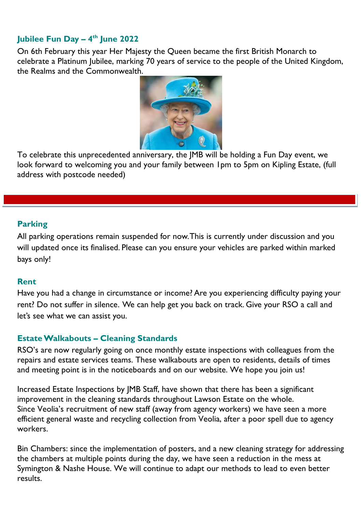# **Jubilee Fun Day – 4th June 2022**

On 6th February this year Her Majesty the Queen became the first British Monarch to celebrate a Platinum Jubilee, marking 70 years of service to the people of the United Kingdom, the Realms and the Commonwealth.



To celebrate this unprecedented anniversary, the JMB will be holding a Fun Day event, we look forward to welcoming you and your family between 1pm to 5pm on Kipling Estate, (full address with postcode needed)

### **Parking**

All parking operations remain suspended for now. This is currently under discussion and you will updated once its finalised. Please can you ensure your vehicles are parked within marked bays only!

#### **Rent**

Have you had a change in circumstance or income? Are you experiencing difficulty paying your rent? Do not suffer in silence. We can help get you back on track. Give your RSO a call and let's see what we can assist you.

### **Estate Walkabouts – Cleaning Standards**

RSO's are now regularly going on once monthly estate inspections with colleagues from the repairs and estate services teams. These walkabouts are open to residents, details of times and meeting point is in the noticeboards and on our website. We hope you join us!

Increased Estate Inspections by JMB Staff, have shown that there has been a significant improvement in the cleaning standards throughout Lawson Estate on the whole. Since Veolia's recruitment of new staff (away from agency workers) we have seen a more efficient general waste and recycling collection from Veolia, after a poor spell due to agency workers.

Bin Chambers: since the implementation of posters, and a new cleaning strategy for addressing the chambers at multiple points during the day, we have seen a reduction in the mess at Symington & Nashe House. We will continue to adapt our methods to lead to even better **results**